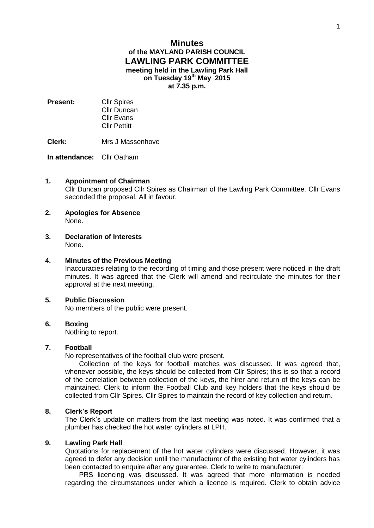# **Minutes of the MAYLAND PARISH COUNCIL LAWLING PARK COMMITTEE meeting held in the Lawling Park Hall on Tuesday 19th May 2015 at 7.35 p.m.**

- **Present:** Cllr Spires Cllr Duncan Cllr Evans Cllr Pettitt
- **Clerk:** Mrs J Massenhove

**In attendance:** Cllr Oatham

#### **1. Appointment of Chairman**

Cllr Duncan proposed Cllr Spires as Chairman of the Lawling Park Committee. Cllr Evans seconded the proposal. All in favour.

- **2. Apologies for Absence** None.
- **3. Declaration of Interests** None.

#### **4. Minutes of the Previous Meeting**

Inaccuracies relating to the recording of timing and those present were noticed in the draft minutes. It was agreed that the Clerk will amend and recirculate the minutes for their approval at the next meeting.

## **5. Public Discussion**

No members of the public were present.

#### **6. Boxing**

Nothing to report.

## **7. Football**

No representatives of the football club were present.

Collection of the keys for football matches was discussed. It was agreed that, whenever possible, the keys should be collected from Cllr Spires; this is so that a record of the correlation between collection of the keys, the hirer and return of the keys can be maintained. Clerk to inform the Football Club and key holders that the keys should be collected from Cllr Spires. Cllr Spires to maintain the record of key collection and return.

## **8. Clerk's Report**

The Clerk's update on matters from the last meeting was noted. It was confirmed that a plumber has checked the hot water cylinders at LPH.

## **9. Lawling Park Hall**

Quotations for replacement of the hot water cylinders were discussed. However, it was agreed to defer any decision until the manufacturer of the existing hot water cylinders has been contacted to enquire after any guarantee. Clerk to write to manufacturer.

PRS licencing was discussed. It was agreed that more information is needed regarding the circumstances under which a licence is required. Clerk to obtain advice